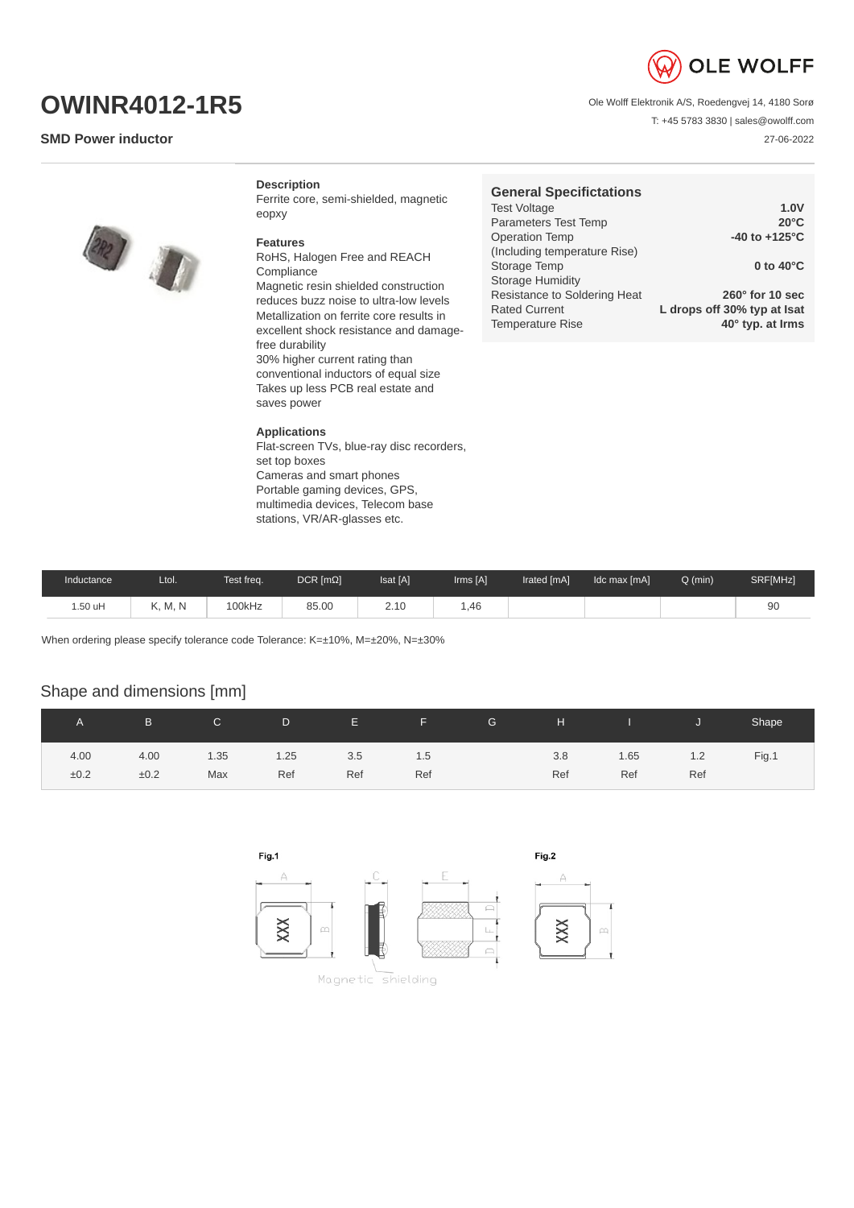

T: +45 5783 3830 | sales@owolff.com

27-06-2022

Ole Wolff Elektronik A/S, Roedengvej 14, 4180 Sorø

**OWINR4012-1R5**

## **SMD Power inductor**

**Description**

Ferrite core, semi-shielded, magnetic eopxy

## **Features**

RoHS, Halogen Free and REACH Compliance Magnetic resin shielded construction reduces buzz noise to ultra-low levels Metallization on ferrite core results in excellent shock resistance and damagefree durability 30% higher current rating than conventional inductors of equal size Takes up less PCB real estate and saves power

## **Applications**

Flat-screen TVs, blue-ray disc recorders, set top boxes Cameras and smart phones Portable gaming devices, GPS, multimedia devices, Telecom base stations, VR/AR-glasses etc.

| <b>General Specifictations</b> |                             |
|--------------------------------|-----------------------------|
| <b>Test Voltage</b>            | 1.0V                        |
| Parameters Test Temp           | $20^{\circ}$ C              |
| <b>Operation Temp</b>          | -40 to $+125^{\circ}$ C     |
| (Including temperature Rise)   |                             |
| Storage Temp                   | 0 to $40^{\circ}$ C         |
| <b>Storage Humidity</b>        |                             |
| Resistance to Soldering Heat   | $260^\circ$ for 10 sec      |
| <b>Rated Current</b>           | L drops off 30% typ at Isat |
| <b>Temperature Rise</b>        | 40° typ. at Irms            |

| Inductance | Ltol.   | Test freq. | $DCR$ [ $m\Omega$ ] | Isat [A]    | Irms [A] | Irated [mA] | Idc max [mA] | $Q$ (min) | SRF[MHz] |
|------------|---------|------------|---------------------|-------------|----------|-------------|--------------|-----------|----------|
| 1.50 uH    | K. M. N | 100kHz     | 85.00               | 210<br>2.10 | 1,46     |             |              |           |          |

When ordering please specify tolerance code Tolerance: K=±10%, M=±20%, N=±30%

## Shape and dimensions [mm]

|      | B.   | $\mathsf{C}$ | D    | E.  | F.  | G | H   | and the state of the state | IJ  | Shape |
|------|------|--------------|------|-----|-----|---|-----|----------------------------|-----|-------|
| 4.00 | 4.00 | 1.35         | 1.25 | 3.5 | 1.5 |   | 3.8 | 1.65                       | 1.2 | Fig.1 |
| ±0.2 | ±0.2 | Max          | Ref  | Ref | Ref |   | Ref | Ref                        | Ref |       |